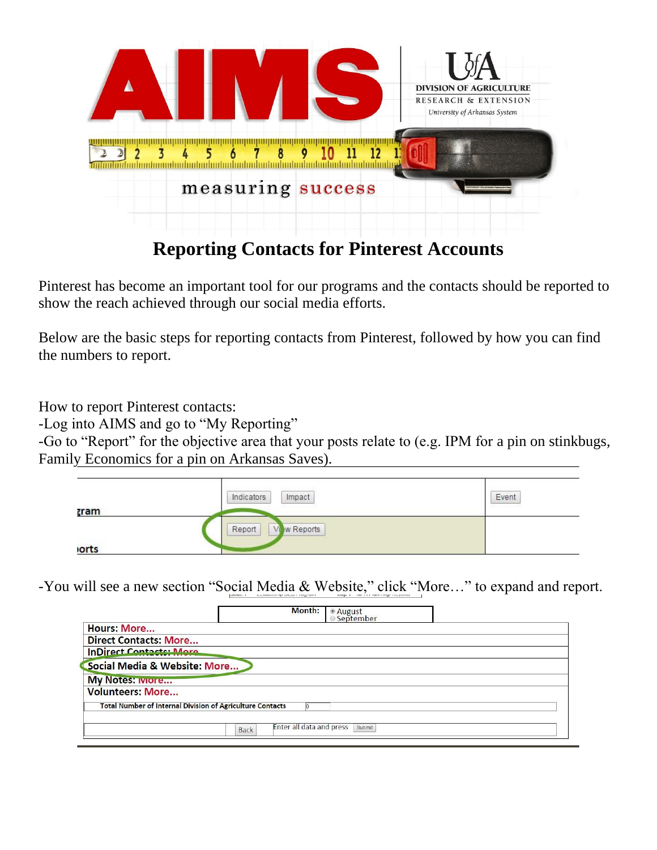

## **Reporting Contacts for Pinterest Accounts**

Pinterest has become an important tool for our programs and the contacts should be reported to show the reach achieved through our social media efforts.

Below are the basic steps for reporting contacts from Pinterest, followed by how you can find the numbers to report.

How to report Pinterest contacts:

-Log into AIMS and go to "My Reporting"

-Go to "Report" for the objective area that your posts relate to (e.g. IPM for a pin on stinkbugs, Family Economics for a pin on Arkansas Saves).

|              | Impact<br>Indicators | Event |
|--------------|----------------------|-------|
| <b>zram</b>  |                      |       |
|              | w Reports<br>Report  |       |
| <b>lorts</b> |                      |       |

-You will see a new section "Social Media & Website," click "More…" to expand and report.

| Month:                                                           | ◉ August<br>☉ September |
|------------------------------------------------------------------|-------------------------|
| <b>Hours: More</b>                                               |                         |
| <b>Direct Contacts: More</b>                                     |                         |
| <b>InDirect Contacts: More</b>                                   |                         |
| Social Media & Website: More                                     |                         |
| My Notes: wore                                                   |                         |
| <b>Volunteers: More</b>                                          |                         |
| <b>Total Number of Internal Division of Agriculture Contacts</b> |                         |
| Enter all data and press<br><b>Back</b>                          | Submit                  |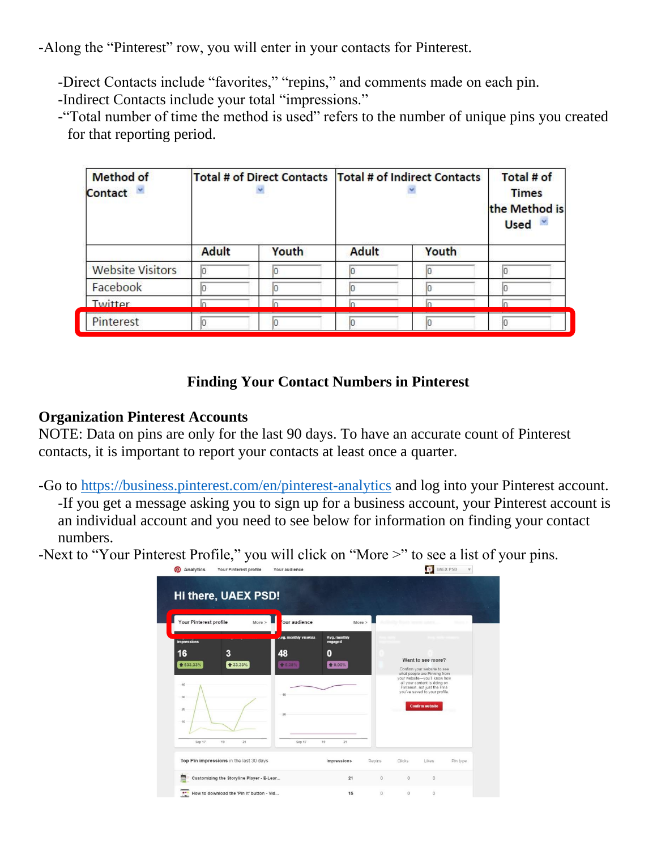-Along the "Pinterest" row, you will enter in your contacts for Pinterest.

-Direct Contacts include "favorites," "repins," and comments made on each pin.

-Indirect Contacts include your total "impressions."

-"Total number of time the method is used" refers to the number of unique pins you created for that reporting period.

| <b>Method of</b><br><b>Contact</b> | Total # of Direct Contacts   Total # of Indirect Contacts |       |              | Total # of<br><b>Times</b><br>the Method is<br>Used v |    |
|------------------------------------|-----------------------------------------------------------|-------|--------------|-------------------------------------------------------|----|
|                                    | <b>Adult</b>                                              | Youth | <b>Adult</b> | Youth                                                 |    |
| <b>Website Visitors</b>            | 10                                                        |       |              |                                                       | lo |
| Facebook                           |                                                           |       |              |                                                       |    |
| Twitter                            |                                                           |       |              |                                                       |    |
| Pinterest                          | Ю                                                         | חו    |              |                                                       | Ю  |

## **Finding Your Contact Numbers in Pinterest**

## **Organization Pinterest Accounts**

NOTE: Data on pins are only for the last 90 days. To have an accurate count of Pinterest contacts, it is important to report your contacts at least once a quarter.

-Go to<https://business.pinterest.com/en/pinterest-analytics> and log into your Pinterest account. -If you get a message asking you to sign up for a business account, your Pinterest account is an individual account and you need to see below for information on finding your contact numbers.

-Next to "Your Pinterest Profile," you will click on "More >" to see a list of your pins.

| Your Pinterest profile                                                | More          | our audience                                |                                         | More > |                                                                                                                                                                                                                                              |  |
|-----------------------------------------------------------------------|---------------|---------------------------------------------|-----------------------------------------|--------|----------------------------------------------------------------------------------------------------------------------------------------------------------------------------------------------------------------------------------------------|--|
| <i>impressions</i><br>16<br>● 633.33%<br>40<br>30<br>-20<br>$10^{-1}$ | 3<br>₩ 33.33% | Avg. monthly viewers<br>48<br>● 6.38%<br>20 | Avg. monthly<br>engaged<br>0<br>♦ 0.00% |        | Want to see more?<br>Confirm your website to see<br>what people are Pinning from<br>your website-you'll know how<br>all your content is doing on<br>Pinterest, not just the Pins.<br>you've saved to your profile.<br><b>Confirm website</b> |  |
| Sep 17                                                                | 21<br>19      | Sep 17                                      | 19<br>21                                |        |                                                                                                                                                                                                                                              |  |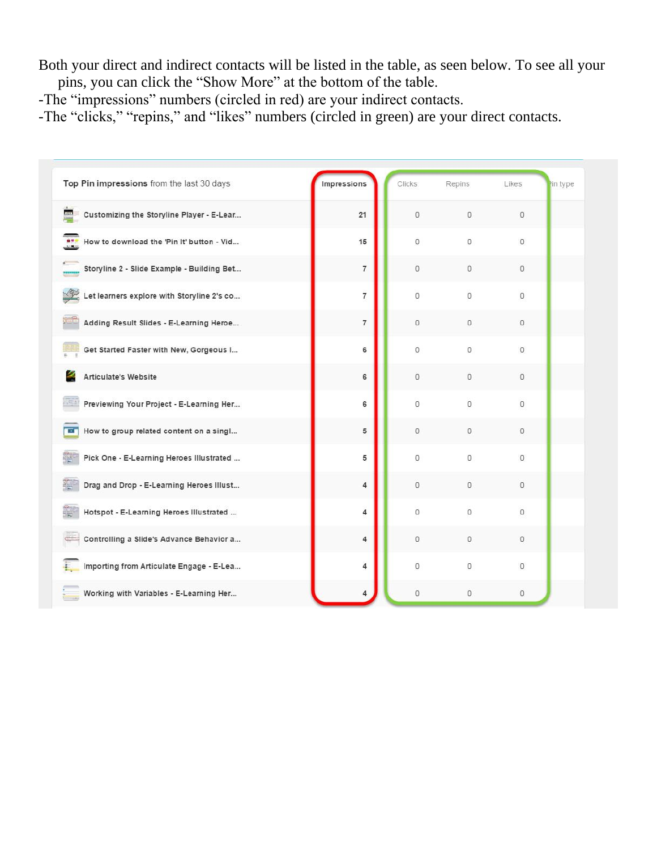Both your direct and indirect contacts will be listed in the table, as seen below. To see all your pins, you can click the "Show More" at the bottom of the table.

-The "impressions" numbers (circled in red) are your indirect contacts.

-The "clicks," "repins," and "likes" numbers (circled in green) are your direct contacts.

| Top Pin impressions from the last 30 days                  | Impressions    | <b>Clicks</b>  | Repins         | Likes          | in type |
|------------------------------------------------------------|----------------|----------------|----------------|----------------|---------|
| Customizing the Storyline Player - E-Lear<br>88.           | 21             | $\theta$       | $\mathbf 0$    | 0              |         |
| How to download the 'Pin It' button - Vid<br>$\frac{1}{2}$ | 15             | $\overline{0}$ | $\mathbf 0$    | $\circ$        |         |
| Storyline 2 - Slide Example - Building Bet                 | $\overline{7}$ | $\mathbf{0}$   | $\circ$        | $\mathbf{0}$   |         |
| Let learners explore with Storyline 2's co                 | $\overline{7}$ | 0              | $\mathbf{0}$   | $\circ$        |         |
| Adding Result Slides - E-Learning Heroe                    | $\overline{7}$ | $\theta$       | $\mathbf 0$    | 0              |         |
| Get Started Faster with New, Gorgeous I                    | 6              | $\mathbf 0$    | 0              | 0              |         |
| <b>Articulate's Website</b>                                | 6              | $\circ$        | $\mathbf{0}$   | $\mathbf{0}$   |         |
| Previewing Your Project - E-Learning Her                   | 6              | $\mathbf 0$    | $\overline{0}$ | $\overline{0}$ |         |
| How to group related content on a singl<br>Œ.              | 5              | $\mathbf 0$    | $\mathbb O$    | 0              |         |
| Pick One - E-Learning Heroes Illustrated                   | 5              | $\overline{0}$ | $\mathbf 0$    | 0              |         |
| Drag and Drop - E-Learning Heroes Illust                   | $\overline{4}$ | $\overline{0}$ | $\overline{0}$ | $\mathbf{0}$   |         |
| Hotspot - E-Learning Heroes Illustrated                    | 4              | 0              | $\mathbf{0}$   | $\circ$        |         |
| Controlling a Slide's Advance Behavior a                   | 4              | $\theta$       | 0              | 0              |         |
| Importing from Articulate Engage - E-Lea                   | 4              | $\mathbf 0$    | $\mathbf 0$    | 0              |         |
| Working with Variables - E-Learning Her                    |                | $\overline{0}$ | $\overline{0}$ | 0              |         |